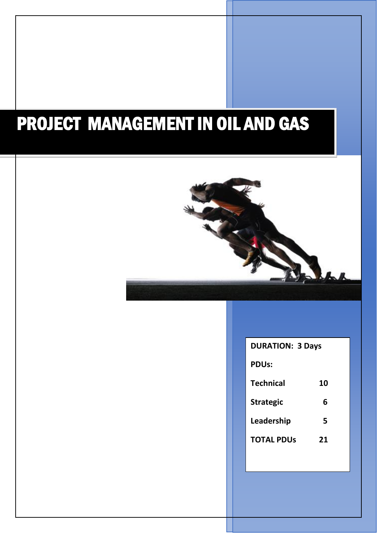# PROJECT MANAGEMENT IN OIL AND GAS



| <b>DURATION: 3 Days</b> |  |
|-------------------------|--|
|-------------------------|--|

| <b>PDUs:</b>      |    |
|-------------------|----|
| <b>Technical</b>  | 10 |
| <b>Strategic</b>  | 6  |
| Leadership        | 5  |
| <b>TOTAL PDUs</b> | 21 |